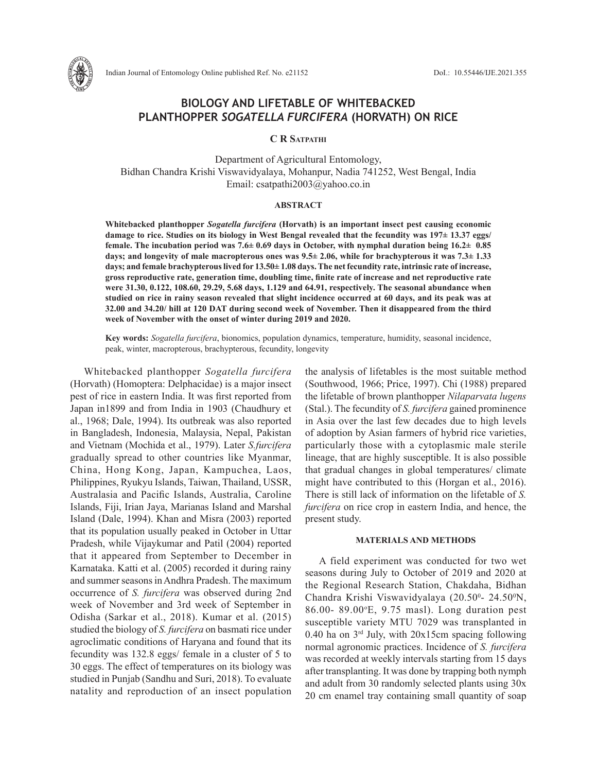

# **BIOLOGY AND LIFETABLE OF WHITEBACKED PLANTHOPPER** *SOGATELLA FURCIFERA* **(HORVATH) ON RICE**

**C R Satpathi**

Department of Agricultural Entomology, Bidhan Chandra Krishi Viswavidyalaya, Mohanpur, Nadia 741252, West Bengal, India Email: csatpathi2003@yahoo.co.in

## **ABSTRACT**

**Whitebacked planthopper** *Sogatella furcifera* **(Horvath) is an important insect pest causing economic damage to rice. Studies on its biology in West Bengal revealed that the fecundity was 197± 13.37 eggs/ female. The incubation period was 7.6± 0.69 days in October, with nymphal duration being 16.2± 0.85 days; and longevity of male macropterous ones was 9.5± 2.06, while for brachypterous it was 7.3± 1.33 days; and female brachypterous lived for 13.50± 1.08 days. The net fecundity rate, intrinsic rate of increase, gross reproductive rate, generation time, doubling time, finite rate of increase and net reproductive rate were 31.30, 0.122, 108.60, 29.29, 5.68 days, 1.129 and 64.91, respectively. The seasonal abundance when studied on rice in rainy season revealed that slight incidence occurred at 60 days, and its peak was at 32.00 and 34.20/ hill at 120 DAT during second week of November. Then it disappeared from the third week of November with the onset of winter during 2019 and 2020.**

**Key words:** *Sogatella furcifera*, bionomics, population dynamics, temperature, humidity, seasonal incidence, peak, winter, macropterous, brachypterous, fecundity, longevity

Whitebacked planthopper *Sogatella furcifera* (Horvath) (Homoptera: Delphacidae) is a major insect pest of rice in eastern India. It was first reported from Japan in1899 and from India in 1903 (Chaudhury et al., 1968; Dale, 1994). Its outbreak was also reported in Bangladesh, Indonesia, Malaysia, Nepal, Pakistan and Vietnam (Mochida et al., 1979). Later *S.furcifera* gradually spread to other countries like Myanmar, China, Hong Kong, Japan, Kampuchea, Laos, Philippines, Ryukyu Islands, Taiwan, Thailand, USSR, Australasia and Pacific Islands, Australia, Caroline Islands, Fiji, Irian Jaya, Marianas Island and Marshal Island (Dale, 1994). Khan and Misra (2003) reported that its population usually peaked in October in Uttar Pradesh, while Vijaykumar and Patil (2004) reported that it appeared from September to December in Karnataka. Katti et al. (2005) recorded it during rainy and summer seasons in Andhra Pradesh. The maximum occurrence of *S. furcifera* was observed during 2nd week of November and 3rd week of September in Odisha (Sarkar et al., 2018). Kumar et al. (2015) studied the biology of *S. furcifera* on basmati rice under agroclimatic conditions of Haryana and found that its fecundity was 132.8 eggs/ female in a cluster of 5 to 30 eggs. The effect of temperatures on its biology was studied in Punjab (Sandhu and Suri, 2018). To evaluate natality and reproduction of an insect population the analysis of lifetables is the most suitable method (Southwood, 1966; Price, 1997). Chi (1988) prepared the lifetable of brown planthopper *Nilaparvata lugens* (Stal.). The fecundity of *S. furcifera* gained prominence in Asia over the last few decades due to high levels of adoption by Asian farmers of hybrid rice varieties, particularly those with a cytoplasmic male sterile lineage, that are highly susceptible. It is also possible that gradual changes in global temperatures/ climate might have contributed to this (Horgan et al., 2016). There is still lack of information on the lifetable of *S. furcifera* on rice crop in eastern India, and hence, the present study.

### **MATERIALS AND METHODS**

A field experiment was conducted for two wet seasons during July to October of 2019 and 2020 at the Regional Research Station, Chakdaha, Bidhan Chandra Krishi Viswavidyalaya (20.50<sup>o</sup>- 24.50<sup>o</sup>N, 86.00- 89.00°E, 9.75 masl). Long duration pest susceptible variety MTU 7029 was transplanted in 0.40 ha on  $3<sup>rd</sup>$  July, with 20x15cm spacing following normal agronomic practices. Incidence of *S. furcifera*  was recorded at weekly intervals starting from 15 days after transplanting. It was done by trapping both nymph and adult from 30 randomly selected plants using 30x 20 cm enamel tray containing small quantity of soap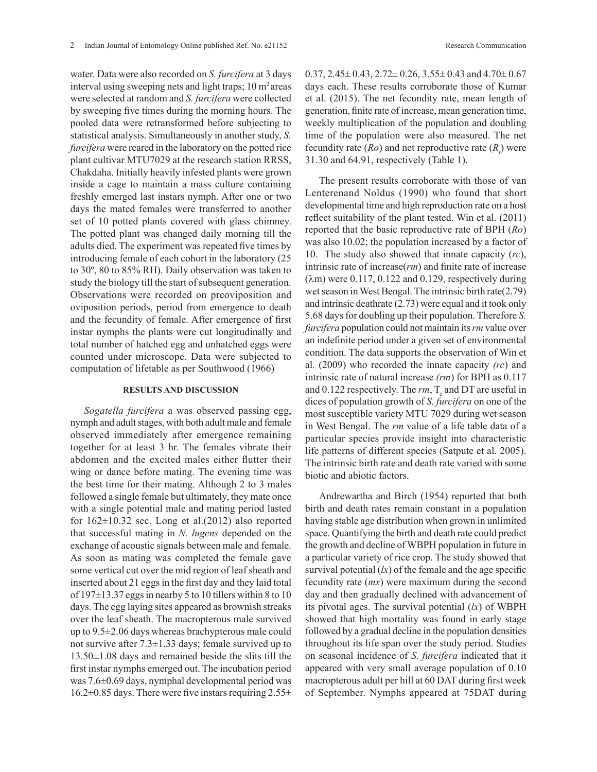water. Data were also recorded on *S. furcifera* at 3 days interval using sweeping nets and light traps; 10 m<sup>2</sup> areas were selected at random and *S. furcifera* were collected by sweeping five times during the morning hours. The pooled data were retransformed before subjecting to statistical analysis. Simultaneously in another study, *S. furcifera* were reared in the laboratory on the potted rice plant cultivar MTU7029 at the research station RRSS, Chakdaha. Initially heavily infested plants were grown inside a cage to maintain a mass culture containing freshly emerged last instars nymph. After one or two days the mated females were transferred to another set of 10 potted plants covered with glass chimney. The potted plant was changed daily morning till the adults died. The experiment was repeated five times by introducing female of each cohort in the laboratory (25 to 30º, 80 to 85% RH). Daily observation was taken to study the biology till the start of subsequent generation. Observations were recorded on preoviposition and oviposition periods, period from emergence to death and the fecundity of female. After emergence of first instar nymphs the plants were cut longitudinally and total number of hatched egg and unhatched eggs were counted under microscope. Data were subjected to computation of lifetable as per Southwood (1966)

#### **RESULTS AND DISCUSSION**

*Sogatella furcifera* a was observed passing egg, nymph and adult stages, with both adult male and female observed immediately after emergence remaining together for at least 3 hr. The females vibrate their abdomen and the excited males either flutter their wing or dance before mating. The evening time was the best time for their mating. Although 2 to 3 males followed a single female but ultimately, they mate once with a single potential male and mating period lasted for  $162\pm10.32$  sec. Long et al.(2012) also reported that successful mating in *N. lugens* depended on the exchange of acoustic signals between male and female. As soon as mating was completed the female gave some vertical cut over the mid region of leaf sheath and inserted about 21 eggs in the first day and they laid total of 197±13.37 eggs in nearby 5 to 10 tillers within 8 to 10 days. The egg laying sites appeared as brownish streaks over the leaf sheath. The macropterous male survived up to 9.5±2.06 days whereas brachypterous male could not survive after 7.3±1.33 days; female survived up to 13.50±1.08 days and remained beside the slits till the first instar nymphs emerged out. The incubation period was 7.6±0.69 days, nymphal developmental period was  $16.2\pm0.85$  days. There were five instars requiring  $2.55\pm$   $0.37, 2.45 \pm 0.43, 2.72 \pm 0.26, 3.55 \pm 0.43$  and  $4.70 \pm 0.67$ days each. These results corroborate those of Kumar et al. (2015). The net fecundity rate, mean length of generation, finite rate of increase, mean generation time, weekly multiplication of the population and doubling time of the population were also measured. The net fecundity rate  $(Ro)$  and net reproductive rate  $(R<sub>l</sub>)$  were 31.30 and 64.91, respectively (Table 1).

The present results corroborate with those of van Lenterenand Noldus (1990) who found that short developmental time and high reproduction rate on a host reflect suitability of the plant tested. Win et al. (2011) reported that the basic reproductive rate of BPH (*Ro*) was also 10.02; the population increased by a factor of 10. The study also showed that innate capacity (*rc*), intrinsic rate of increase(*rm*) and finite rate of increase  $(\lambda m)$  were 0.117, 0.122 and 0.129, respectively during wet season in West Bengal. The intrinsic birth rate(2.79) and intrinsic deathrate (2.73) were equal and it took only 5.68 days for doubling up their population. Therefore *S. furcifera* population could not maintain its *rm* value over an indefinite period under a given set of environmental condition. The data supports the observation of Win et al*.* (2009) who recorded the innate capacity *(rc*) and intrinsic rate of natural increase *(rm*) for BPH as 0.117 and  $0.122$  respectively. The  $rm$ ,  $T_c$  and DT are useful in dices of population growth of *S. furcifera* on one of the most susceptible variety MTU 7029 during wet season in West Bengal. The *rm* value of a life table data of a particular species provide insight into characteristic life patterns of different species (Satpute et al. 2005). The intrinsic birth rate and death rate varied with some biotic and abiotic factors.

Andrewartha and Birch (1954) reported that both birth and death rates remain constant in a population having stable age distribution when grown in unlimited space. Quantifying the birth and death rate could predict the growth and decline of WBPH population in future in a particular variety of rice crop. The study showed that survival potential  $(kx)$  of the female and the age specific fecundity rate (*mx*) were maximum during the second day and then gradually declined with advancement of its pivotal ages. The survival potential (*lx*) of WBPH showed that high mortality was found in early stage followed by a gradual decline in the population densities throughout its life span over the study period. Studies on seasonal incidence of *S. furcifera* indicated that it appeared with very small average population of 0.10 macropterous adult per hill at 60 DAT during first week of September. Nymphs appeared at 75DAT during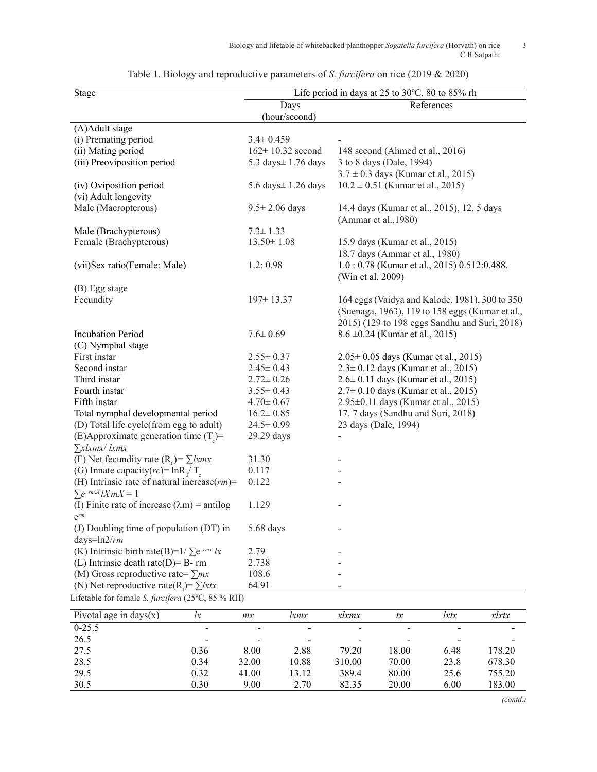| <b>Stage</b>                                                   | Life period in days at 25 to 30°C, 80 to 85% rh |                                                 |  |  |  |  |
|----------------------------------------------------------------|-------------------------------------------------|-------------------------------------------------|--|--|--|--|
|                                                                | References                                      |                                                 |  |  |  |  |
|                                                                | (hour/second)                                   |                                                 |  |  |  |  |
| (A)Adult stage                                                 |                                                 |                                                 |  |  |  |  |
| (i) Premating period                                           | $3.4 \pm 0.459$                                 |                                                 |  |  |  |  |
| (ii) Mating period                                             | $162 \pm 10.32$ second                          | 148 second (Ahmed et al., 2016)                 |  |  |  |  |
| (iii) Preoviposition period                                    | 5.3 days ± 1.76 days                            | 3 to 8 days (Dale, 1994)                        |  |  |  |  |
|                                                                |                                                 | $3.7 \pm 0.3$ days (Kumar et al., 2015)         |  |  |  |  |
| (iv) Oviposition period                                        | 5.6 days $\pm$ 1.26 days                        | $10.2 \pm 0.51$ (Kumar et al., 2015)            |  |  |  |  |
| (vi) Adult longevity                                           |                                                 |                                                 |  |  |  |  |
| Male (Macropterous)                                            | $9.5 \pm 2.06$ days                             | 14.4 days (Kumar et al., 2015), 12.5 days       |  |  |  |  |
|                                                                |                                                 | (Ammar et al., 1980)                            |  |  |  |  |
| Male (Brachypterous)                                           | $7.3 \pm 1.33$                                  |                                                 |  |  |  |  |
| Female (Brachypterous)                                         | $13.50 \pm 1.08$                                | 15.9 days (Kumar et al., 2015)                  |  |  |  |  |
|                                                                |                                                 | 18.7 days (Ammar et al., 1980)                  |  |  |  |  |
| (vii)Sex ratio(Female: Male)                                   | 1.2:0.98                                        | 1.0: 0.78 (Kumar et al., 2015) 0.512:0.488.     |  |  |  |  |
|                                                                |                                                 | (Win et al. 2009)                               |  |  |  |  |
| (B) Egg stage                                                  |                                                 |                                                 |  |  |  |  |
| Fecundity                                                      | $197 \pm 13.37$                                 | 164 eggs (Vaidya and Kalode, 1981), 300 to 350  |  |  |  |  |
|                                                                |                                                 | (Suenaga, 1963), 119 to 158 eggs (Kumar et al., |  |  |  |  |
|                                                                |                                                 | 2015) (129 to 198 eggs Sandhu and Suri, 2018)   |  |  |  |  |
| <b>Incubation Period</b>                                       | $7.6 \pm 0.69$                                  | $8.6 \pm 0.24$ (Kumar et al., 2015)             |  |  |  |  |
|                                                                |                                                 |                                                 |  |  |  |  |
| (C) Nymphal stage<br>First instar                              | $2.55 \pm 0.37$                                 | $2.05 \pm 0.05$ days (Kumar et al., 2015)       |  |  |  |  |
| Second instar                                                  | $2.45 \pm 0.43$                                 |                                                 |  |  |  |  |
|                                                                |                                                 | $2.3 \pm 0.12$ days (Kumar et al., 2015)        |  |  |  |  |
| Third instar                                                   | $2.72 \pm 0.26$                                 | $2.6 \pm 0.11$ days (Kumar et al., 2015)        |  |  |  |  |
| Fourth instar                                                  | $3.55 \pm 0.43$                                 | $2.7 \pm 0.10$ days (Kumar et al., 2015)        |  |  |  |  |
| Fifth instar                                                   | $4.70 \pm 0.67$                                 | 2.95±0.11 days (Kumar et al., 2015)             |  |  |  |  |
| Total nymphal developmental period                             | $16.2 \pm 0.85$                                 | 17. 7 days (Sandhu and Suri, 2018)              |  |  |  |  |
| (D) Total life cycle(from egg to adult)                        | $24.5 \pm 0.99$                                 | 23 days (Dale, 1994)                            |  |  |  |  |
| (E)Approximate generation time $(T_c)$ =                       | 29.29 days                                      |                                                 |  |  |  |  |
| $\sum x \mid x \mid x \mid$                                    |                                                 |                                                 |  |  |  |  |
| (F) Net fecundity rate $(R_0) = \sum kmx$                      | 31.30                                           |                                                 |  |  |  |  |
| (G) Innate capacity( $rc$ ) = $\ln R_0/T_c$                    | 0.117                                           |                                                 |  |  |  |  |
| (H) Intrinsic rate of natural increase $(rm)$ =                | 0.122                                           |                                                 |  |  |  |  |
| $\sum e^{-rm X} lX mX = 1$                                     |                                                 |                                                 |  |  |  |  |
| (I) Finite rate of increase $(\lambda m)$ = antilog            | 1.129                                           |                                                 |  |  |  |  |
| $e^{rm}$                                                       |                                                 |                                                 |  |  |  |  |
| (J) Doubling time of population (DT) in                        | 5.68 days                                       |                                                 |  |  |  |  |
| days= $ln2/rm$                                                 |                                                 |                                                 |  |  |  |  |
| (K) Intrinsic birth rate(B)= $1/\sum e^{-rmx}$ lx              | 2.79                                            |                                                 |  |  |  |  |
| (L) Intrinsic death rate( $D$ )= B- rm                         | 2.738                                           |                                                 |  |  |  |  |
| (M) Gross reproductive rate= $\sum mx$                         | 108.6                                           |                                                 |  |  |  |  |
| (N) Net reproductive rate(R <sub>i</sub> )= $\sum$ <i>lxtx</i> | 64.91                                           |                                                 |  |  |  |  |
| Lifetable for female S. furcifera (25°C, 85 % RH)              |                                                 |                                                 |  |  |  |  |

| Table 1. Biology and reproductive parameters of <i>S. furcifera</i> on rice (2019 & 2020) |  |  |
|-------------------------------------------------------------------------------------------|--|--|
|-------------------------------------------------------------------------------------------|--|--|

| Pivotal age in days $(x)$ | lx             | mx                       | lxmx  | xlxmx           | tx                       | lxtx           | xlxtx  |
|---------------------------|----------------|--------------------------|-------|-----------------|--------------------------|----------------|--------|
| $0-25.5$                  | $\blacksquare$ | $\blacksquare$           | -     | $\qquad \qquad$ | $\overline{\phantom{0}}$ | $\blacksquare$ |        |
| 26.5                      |                | $\overline{\phantom{0}}$ |       | -               |                          | $\,$           |        |
| 27.5                      | 0.36           | 8.00                     | 2.88  | 79.20           | 18.00                    | 6.48           | 178.20 |
| 28.5                      | 0.34           | 32.00                    | 10.88 | 310.00          | 70.00                    | 23.8           | 678.30 |
| 29.5                      | 0.32           | 41.00                    | 13.12 | 389.4           | 80.00                    | 25.6           | 755.20 |
| 30.5                      | 0.30           | 9.00                     | 2.70  | 82.35           | 20.00                    | 6.00           | 183.00 |

*(contd.)*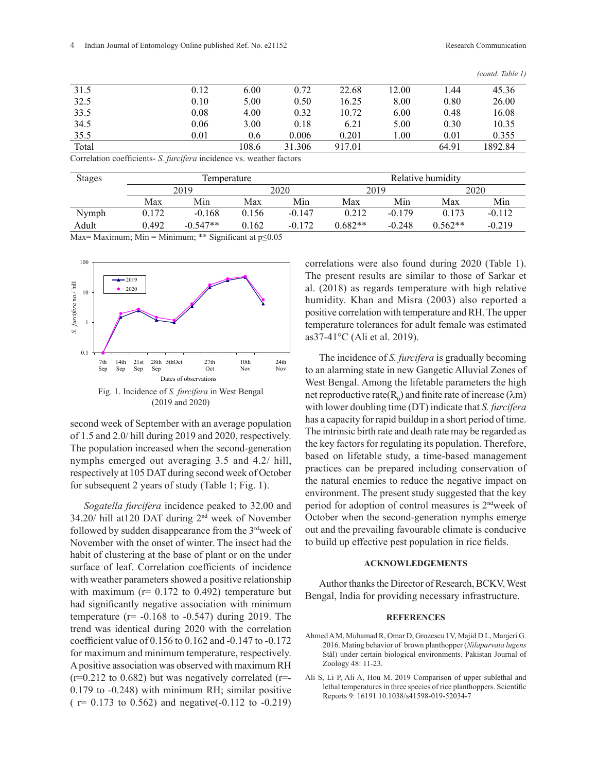*(contd. Table 1)*

|       |      |       |        |        |       |       | $\left(\text{unit.}\;1\right)$ |
|-------|------|-------|--------|--------|-------|-------|--------------------------------|
| 31.5  | 0.12 | 6.00  | 0.72   | 22.68  | 12.00 | .44   | 45.36                          |
| 32.5  | 0.10 | 5.00  | 0.50   | 16.25  | 8.00  | 0.80  | 26.00                          |
| 33.5  | 0.08 | 4.00  | 0.32   | 10.72  | 6.00  | 0.48  | 16.08                          |
| 34.5  | 0.06 | 3.00  | 0.18   | 6.21   | 5.00  | 0.30  | 10.35                          |
| 35.5  | 0.01 | 0.6   | 0.006  | 0.201  | 00.1  | 0.01  | 0.355                          |
| Total |      | 108.6 | 31.306 | 917.01 |       | 64.91 | 1892.84                        |
|       |      |       |        |        |       |       |                                |

Correlation coefficients- *S. furcifera* incidence vs. weather factors

| <b>Stages</b> | <i>l</i> emperature |            |       |          | Relative humidity |          |           |          |
|---------------|---------------------|------------|-------|----------|-------------------|----------|-----------|----------|
|               | 2019                |            | 2020  |          | 2019              |          | 2020      |          |
|               | Max                 | Min        | Max   | Min      | Max               | Min      | Max       | Min      |
| Nymph         | 0.172               | $-0.168$   | 0.156 | $-0.147$ | 0.212             | $-0.179$ | 0.173     | $-0.112$ |
| Adult         | 0.492               | $-0.547**$ | 0.162 | $-0.172$ | $0.682**$         | $-0.248$ | $0.562**$ | $-0.219$ |

Max= Maximum; Min = Minimum; \*\* Significant at  $p \le 0.05$ 



Fig. 1. Incidence of *S. furcifera* in West Bengal (2019 and 2020)

second week of September with an average population of 1.5 and 2.0/ hill during 2019 and 2020, respectively. The population increased when the second-generation nymphs emerged out averaging 3.5 and 4.2/ hill, respectively at 105 DAT during second week of October for subsequent 2 years of study (Table 1; Fig. 1).

*Sogatella furcifera* incidence peaked to 32.00 and 34.20/ hill at120 DAT during 2nd week of November followed by sudden disappearance from the 3<sup>rd</sup>week of November with the onset of winter. The insect had the habit of clustering at the base of plant or on the under surface of leaf. Correlation coefficients of incidence with weather parameters showed a positive relationship with maximum ( $r= 0.172$  to 0.492) temperature but had significantly negative association with minimum temperature  $(r= -0.168$  to  $-0.547)$  during 2019. The trend was identical during 2020 with the correlation coefficient value of 0.156 to 0.162 and -0.147 to -0.172 for maximum and minimum temperature, respectively. A positive association was observed with maximum RH  $(r=0.212$  to 0.682) but was negatively correlated  $(r=0.212)$ 0.179 to -0.248) with minimum RH; similar positive  $(r= 0.173 \text{ to } 0.562)$  and negative(-0.112 to -0.219) correlations were also found during 2020 (Table 1). The present results are similar to those of Sarkar et al. (2018) as regards temperature with high relative humidity. Khan and Misra (2003) also reported a positive correlation with temperature and RH. The upper temperature tolerances for adult female was estimated as37-41°C (Ali et al. 2019).

The incidence of *S. furcifera* is gradually becoming to an alarming state in new Gangetic Alluvial Zones of West Bengal. Among the lifetable parameters the high net reproductive rate( $R_0$ ) and finite rate of increase ( $\lambda$ m) with lower doubling time (DT) indicate that *S. furcifera* has a capacity for rapid buildup in a short period of time. The intrinsic birth rate and death rate may be regarded as the key factors for regulating its population. Therefore, based on lifetable study, a time-based management practices can be prepared including conservation of the natural enemies to reduce the negative impact on environment. The present study suggested that the key period for adoption of control measures is 2ndweek of October when the second-generation nymphs emerge out and the prevailing favourable climate is conducive to build up effective pest population in rice fields.

## **ACKNOWLEDGEMENTS**

Author thanks the Director of Research, BCKV, West Bengal, India for providing necessary infrastructure.

#### **REFERENCES**

- Ahmed A M, Muhamad R, Omar D, Grozescu I V, Majid D L, Manjeri G. 2016. Mating behavior of brown planthopper (*Nilaparvata lugens*  Stål) under certain biological environments. Pakistan Journal of Zoology 48: 11-23.
- Ali S, Li P, Ali A, Hou M. 2019 Comparison of upper sublethal and lethal temperatures in three species of rice planthoppers. Scientific Reports 9: 16191 10.1038/s41598-019-52034-7